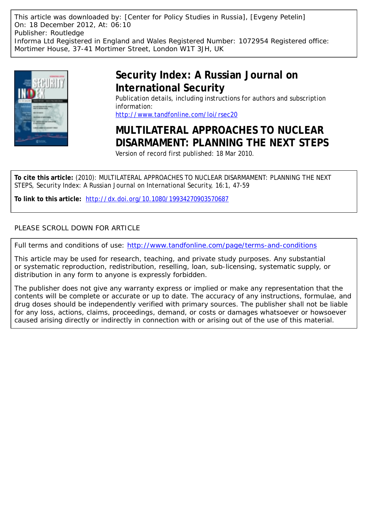This article was downloaded by: [Center for Policy Studies in Russia], [Evgeny Petelin] On: 18 December 2012, At: 06:10 Publisher: Routledge Informa Ltd Registered in England and Wales Registered Number: 1072954 Registered office: Mortimer House, 37-41 Mortimer Street, London W1T 3JH, UK



## **Security Index: A Russian Journal on International Security**

Publication details, including instructions for authors and subscription information:

<http://www.tandfonline.com/loi/rsec20>

# **MULTILATERAL APPROACHES TO NUCLEAR DISARMAMENT: PLANNING THE NEXT STEPS**

Version of record first published: 18 Mar 2010.

**To cite this article:** (2010): MULTILATERAL APPROACHES TO NUCLEAR DISARMAMENT: PLANNING THE NEXT STEPS, Security Index: A Russian Journal on International Security, 16:1, 47-59

**To link to this article:** <http://dx.doi.org/10.1080/19934270903570687>

## PLEASE SCROLL DOWN FOR ARTICLE

Full terms and conditions of use:<http://www.tandfonline.com/page/terms-and-conditions>

This article may be used for research, teaching, and private study purposes. Any substantial or systematic reproduction, redistribution, reselling, loan, sub-licensing, systematic supply, or distribution in any form to anyone is expressly forbidden.

The publisher does not give any warranty express or implied or make any representation that the contents will be complete or accurate or up to date. The accuracy of any instructions, formulae, and drug doses should be independently verified with primary sources. The publisher shall not be liable for any loss, actions, claims, proceedings, demand, or costs or damages whatsoever or howsoever caused arising directly or indirectly in connection with or arising out of the use of this material.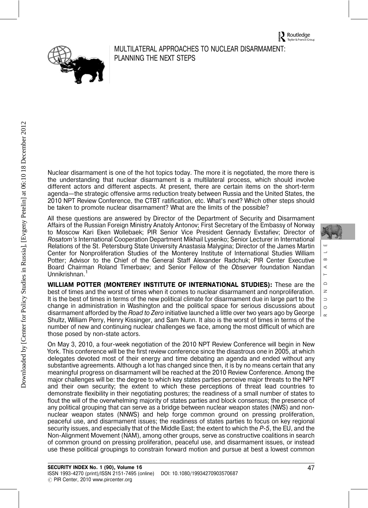

### MULTILATERAL APPROACHES TO NUCLEAR DISARMAMENT: PLANNING THE NEXT STEPS

Nuclear disarmament is one of the hot topics today. The more it is negotiated, the more there is the understanding that nuclear disarmament is a multilateral process, which should involve different actors and different aspects. At present, there are certain items on the short-term agenda—the strategic offensive arms reduction treaty between Russia and the United States, the 2010 NPT Review Conference, the CTBT ratification, etc. What's next? Which other steps should be taken to promote nuclear disarmament? What are the limits of the possible?

All these questions are answered by Director of the Department of Security and Disarmament Affairs of the Russian Foreign Ministry Anatoly Antonov; First Secretary of the Embassy of Norway to Moscow Kari Eken Wollebaek; PIR Senior Vice President Gennady Evstafiev; Director of Rosatom's International Cooperation Department Mikhail Lysenko; Senior Lecturer in International Relations of the St. Petersburg State University Anastasia Malygina; Director of the James Martin Center for Nonproliferation Studies of the Monterey Institute of International Studies William Potter; Advisor to the Chief of the General Staff Alexander Radchuk; PIR Center Executive Board Chairman Roland Timerbaev; and Senior Fellow of the Observer foundation Nandan Unnikrishnan.<sup>1</sup>

WILLIAM POTTER (MONTEREY INSTITUTE OF INTERNATIONAL STUDIES): These are the best of times and the worst of times when it comes to nuclear disarmament and nonproliferation. It is the best of times in terms of the new political climate for disarmament due in large part to the change in administration in Washington and the political space for serious discussions about disarmament afforded by the Road to Zero initiative launched a little over two years ago by George Shultz, William Perry, Henry Kissinger, and Sam Nunn. It also is the worst of times in terms of the number of new and continuing nuclear challenges we face, among the most difficult of which are those posed by non-state actors.

On May 3, 2010, a four-week negotiation of the 2010 NPT Review Conference will begin in New York. This conference will be the first review conference since the disastrous one in 2005, at which delegates devoted most of their energy and time debating an agenda and ended without any substantive agreements. Although a lot has changed since then, it is by no means certain that any meaningful progress on disarmament will be reached at the 2010 Review Conference. Among the major challenges will be: the degree to which key states parties perceive major threats to the NPT and their own security; the extent to which these perceptions of threat lead countries to demonstrate flexibility in their negotiating postures; the readiness of a small number of states to flout the will of the overwhelming majority of states parties and block consensus; the presence of any political grouping that can serve as a bridge between nuclear weapon states (NWS) and nonnuclear weapon states (NNWS) and help forge common ground on pressing proliferation, peaceful use, and disarmament issues; the readiness of states parties to focus on key regional security issues, and especially that of the Middle East; the extent to which the P-5, the EU, and the Non-Alignment Movement (NAM), among other groups, serve as constructive coalitions in search of common ground on pressing proliferation, peaceful use, and disarmament issues, or instead use these political groupings to constrain forward motion and pursue at best a lowest common ROUND TABLE

ш  $\overline{\phantom{a}}$  $\infty$ ⋖  $\vdash$  $\bigcap$  $\overline{z}$  $\supset$  $\circ$  $\sim$ 

47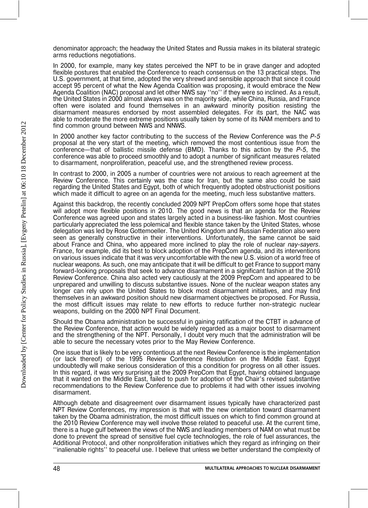denominator approach; the headway the United States and Russia makes in its bilateral strategic arms reductions negotiations.

In 2000, for example, many key states perceived the NPT to be in grave danger and adopted flexible postures that enabled the Conference to reach consensus on the 13 practical steps. The U.S. government, at that time, adopted the very shrewd and sensible approach that since it could accept 95 percent of what the New Agenda Coalition was proposing, it would embrace the New Agenda Coalition (NAC) proposal and let other NWS say "no" if they were so inclined. As a result, the United States in 2000 almost always was on the majority side, while China, Russia, and France often were isolated and found themselves in an awkward minority position resisting the disarmament measures endorsed by most assembled delegates. For its part, the NAC was able to moderate the more extreme positions usually taken by some of its NAM members and to find common ground between NWS and NNWS.

In 2000 another key factor contributing to the success of the Review Conference was the P-5 proposal at the very start of the meeting, which removed the most contentious issue from the conference—that of ballistic missile defense (BMD). Thanks to this action by the P-5, the conference was able to proceed smoothly and to adopt a number of significant measures related to disarmament, nonproliferation, peaceful use, and the strengthened review process.

In contrast to 2000, in 2005 a number of countries were not anxious to reach agreement at the Review Conference. This certainly was the case for Iran, but the same also could be said regarding the United States and Egypt, both of which frequently adopted obstructionist positions which made it difficult to agree on an agenda for the meeting, much less substantive matters.

Against this backdrop, the recently concluded 2009 NPT PrepCom offers some hope that states will adopt more flexible positions in 2010. The good news is that an agenda for the Review Conference was agreed upon and states largely acted in a business-like fashion. Most countries particularly appreciated the less polemical and flexible stance taken by the United States, whose delegation was led by Rose Gottemoeller. The United Kingdom and Russian Federation also were seen as generally constructive in their interventions. Unfortunately, the same cannot be said about France and China, who appeared more inclined to play the role of nuclear nay-sayers. France, for example, did its best to block adoption of the PrepCom agenda, and its interventions on various issues indicate that it was very uncomfortable with the new U.S. vision of a world free of nuclear weapons. As such, one may anticipate that it will be difficult to get France to support many forward-looking proposals that seek to advance disarmament in a significant fashion at the 2010 Review Conference. China also acted very cautiously at the 2009 PrepCom and appeared to be unprepared and unwilling to discuss substantive issues. None of the nuclear weapon states any longer can rely upon the United States to block most disarmament initiatives, and may find themselves in an awkward position should new disarmament objectives be proposed. For Russia, the most difficult issues may relate to new efforts to reduce further non-strategic nuclear weapons, building on the 2000 NPT Final Document.

Should the Obama administration be successful in gaining ratification of the CTBT in advance of the Review Conference, that action would be widely regarded as a major boost to disarmament and the strengthening of the NPT. Personally, I doubt very much that the administration will be able to secure the necessary votes prior to the May Review Conference.

One issue that is likely to be very contentious at the next Review Conference is the implementation (or lack thereof) of the 1995 Review Conference Resolution on the Middle East. Egypt undoubtedly will make serious consideration of this a condition for progress on all other issues. In this regard, it was very surprising at the 2009 PrepCom that Egypt, having obtained language that it wanted on the Middle East, failed to push for adoption of the Chair's revised substantive recommendations to the Review Conference due to problems it had with other issues involving disarmament.

Although debate and disagreement over disarmament issues typically have characterized past NPT Review Conferences, my impression is that with the new orientation toward disarmament taken by the Obama administration, the most difficult issues on which to find common ground at the 2010 Review Conference may well involve those related to peaceful use. At the current time, there is a huge gulf between the views of the NWS and leading members of NAM on what must be done to prevent the spread of sensitive fuel cycle technologies, the role of fuel assurances, the Additional Protocol, and other nonproliferation initiatives which they regard as infringing on their ''inalienable rights'' to peaceful use. I believe that unless we better understand the complexity of

 $\overline{C}$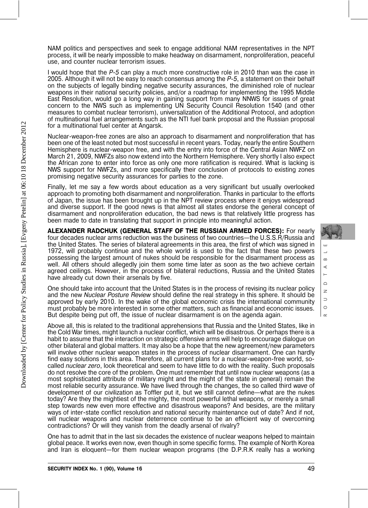NAM politics and perspectives and seek to engage additional NAM representatives in the NPT process, it will be nearly impossible to make headway on disarmament, nonproliferation, peaceful use, and counter nuclear terrorism issues.

I would hope that the P-5 can play a much more constructive role in 2010 than was the case in 2005. Although it will not be easy to reach consensus among the  $P-5$ , a statement on their behalf on the subjects of legally binding negative security assurances, the diminished role of nuclear weapons in their national security policies, and/or a roadmap for implementing the 1995 Middle East Resolution, would go a long way in gaining support from many NNWS for issues of great concern to the NWS such as implementing UN Security Council Resolution 1540 (and other measures to combat nuclear terrorism), universalization of the Additional Protocol, and adoption of multinational fuel arrangements such as the NTI fuel bank proposal and the Russian proposal for a multinational fuel center at Angarsk.

Nuclear-weapon-free zones are also an approach to disarmament and nonproliferation that has been one of the least noted but most successful in recent years. Today, nearly the entire Southern Hemisphere is nuclear-weapon free, and with the entry into force of the Central Asian NWFZ on March 21, 2009, NWFZs also now extend into the Northern Hemisphere. Very shortly I also expect the African zone to enter into force as only one more ratification is required. What is lacking is NWS support for NWFZs, and more specifically their conclusion of protocols to existing zones promising negative security assurances for parties to the zone.

Finally, let me say a few words about education as a very significant but usually overlooked approach to promoting both disarmament and nonproliferation. Thanks in particular to the efforts of Japan, the issue has been brought up in the NPT review process where it enjoys widespread and diverse support. If the good news is that almost all states endorse the general concept of disarmament and nonproliferation education, the bad news is that relatively little progress has been made to date in translating that support in principle into meaningful action.

ALEXANDER RADCHUK (GENERAL STAFF OF THE RUSSIAN ARMED FORCES): For nearly four decades nuclear arms reduction was the business of two countries—the U.S.S.R/Russia and the United States. The series of bilateral agreements in this area, the first of which was signed in 1972, will probably continue and the whole world is used to the fact that these two powers possessing the largest amount of nukes should be responsible for the disarmament process as well. All others should allegedly join them some time later as soon as the two achieve certain agreed ceilings. However, in the process of bilateral reductions, Russia and the United States have already cut down their arsenals by five.

One should take into account that the United States is in the process of revising its nuclear policy and the new Nuclear Posture Review should define the real strategy in this sphere. It should be approved by early 2010. In the wake of the global economic crisis the international community must probably be more interested in some other matters, such as financial and economic issues. But despite being put off, the issue of nuclear disarmament is on the agenda again.

Above all, this is related to the traditional apprehensions that Russia and the United States, like in the Cold War times, might launch a nuclear conflict, which will be disastrous. Or perhaps there is a habit to assume that the interaction on strategic offensive arms will help to encourage dialogue on other bilateral and global matters. It may also be a hope that the new agreement/new parameters will involve other nuclear weapon states in the process of nuclear disarmament. One can hardly find easy solutions in this area. Therefore, all current plans for a nuclear-weapon-free world, socalled nuclear zero, look theoretical and seem to have little to do with the reality. Such proposals do not resolve the core of the problem. One must remember that until now nuclear weapons (as a most sophisticated attribute of military might and the might of the state in general) remain the most reliable security assurance. We have lived through the changes, the so called third wave of development of our civilization as Toffler put it, but we still cannot define—what are the nukes today? Are they the mightiest of the mighty, the most powerful lethal weapons, or merely a small step towards new even more effective and disastrous weapons? And besides, are the military ways of inter-state conflict resolution and national security maintenance out of date? And if not, will nuclear weapons and nuclear deterrence continue to be an efficient way of overcoming contradictions? Or will they vanish from the deadly arsenal of rivalry?

One has to admit that in the last six decades the existence of nuclear weapons helped to maintain global peace. It works even now, even though in some specific forms. The example of North Korea and Iran is eloquent—for them nuclear weapon programs (the D.P.R.K really has a working

 $\mathbf{C}$ 

外

Ш  $\overline{\phantom{a}}$ 

 $\vdash$  $\bigcap$  $\overline{z}$  $\supset$  $\circ$  $\overline{\phantom{a}}$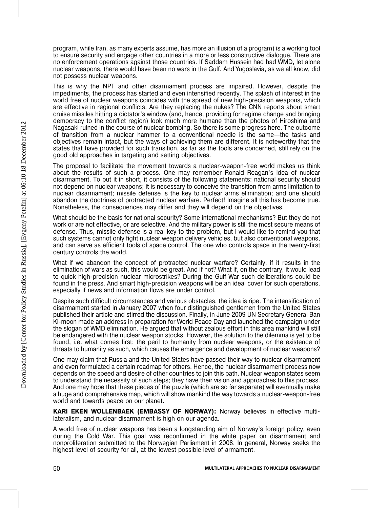program, while Iran, as many experts assume, has more an illusion of a program) is a working tool to ensure security and engage other countries in a more or less constructive dialogue. There are no enforcement operations against those countries. If Saddam Hussein had had WMD, let alone nuclear weapons, there would have been no wars in the Gulf. And Yugoslavia, as we all know, did not possess nuclear weapons.

This is why the NPT and other disarmament process are impaired. However, despite the impediments, the process has started and even intensified recently. The splash of interest in the world free of nuclear weapons coincides with the spread of new high-precision weapons, which are effective in regional conflicts. Are they replacing the nukes? The CNN reports about smart cruise missiles hitting a dictator's window (and, hence, providing for regime change and bringing democracy to the conflict region) look much more humane than the photos of Hiroshima and Nagasaki ruined in the course of nuclear bombing. So there is some progress here. The outcome of transition from a nuclear hammer to a conventional needle is the same—the tasks and objectives remain intact, but the ways of achieving them are different. It is noteworthy that the states that have provided for such transition, as far as the tools are concerned, still rely on the good old approaches in targeting and setting objectives.

The proposal to facilitate the movement towards a nuclear-weapon-free world makes us think about the results of such a process. One may remember Ronald Reagan's idea of nuclear disarmament. To put it in short, it consists of the following statements: national security should not depend on nuclear weapons; it is necessary to conceive the transition from arms limitation to nuclear disarmament; missile defense is the key to nuclear arms elimination; and one should abandon the doctrines of protracted nuclear warfare. Perfect! Imagine all this has become true. Nonetheless, the consequences may differ and they will depend on the objectives.

What should be the basis for national security? Some international mechanisms? But they do not work or are not effective, or are selective. And the military power is still the most secure means of defense. Thus, missile defense is a real key to the problem, but I would like to remind you that such systems cannot only fight nuclear weapon delivery vehicles, but also conventional weapons, and can serve as efficient tools of space control. The one who controls space in the twenty-first century controls the world.

What if we abandon the concept of protracted nuclear warfare? Certainly, if it results in the elimination of wars as such, this would be great. And if not? What if, on the contrary, it would lead to quick high-precision nuclear microstrikes? During the Gulf War such deliberations could be found in the press. And smart high-precision weapons will be an ideal cover for such operations, especially if news and information flows are under control.

Despite such difficult circumstances and various obstacles, the idea is ripe. The intensification of disarmament started in January 2007 when four distinguished gentlemen from the United States published their article and stirred the discussion. Finally, in June 2009 UN Secretary General Ban Ki-moon made an address in preparation for World Peace Day and launched the campaign under the slogan of WMD elimination. He argued that without zealous effort in this area mankind will still be endangered with the nuclear weapon stocks. However, the solution to the dilemma is yet to be found, i.e. what comes first: the peril to humanity from nuclear weapons, or the existence of threats to humanity as such, which causes the emergence and development of nuclear weapons?

One may claim that Russia and the United States have passed their way to nuclear disarmament and even formulated a certain roadmap for others. Hence, the nuclear disarmament process now depends on the speed and desire of other countries to join this path. Nuclear weapon states seem to understand the necessity of such steps; they have their vision and approaches to this process. And one may hope that these pieces of the puzzle (which are so far separate) will eventually make a huge and comprehensive map, which will show mankind the way towards a nuclear-weapon-free world and towards peace on our planet.

KARI EKEN WOLLENBAEK (EMBASSY OF NORWAY): Norway believes in effective multilateralism, and nuclear disarmament is high on our agenda.

A world free of nuclear weapons has been a longstanding aim of Norway's foreign policy, even during the Cold War. This goal was reconfirmed in the white paper on disarmament and nonproliferation submitted to the Norwegian Parliament in 2008. In general, Norway seeks the highest level of security for all, at the lowest possible level of armament.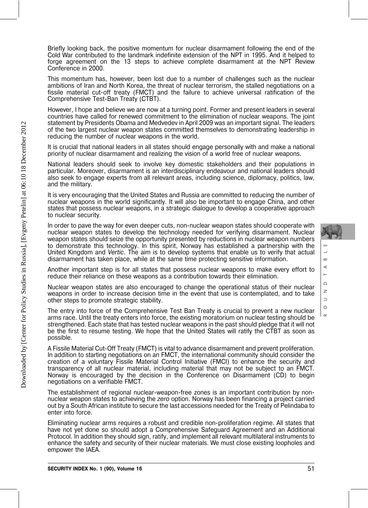Briefly looking back, the positive momentum for nuclear disarmament following the end of the Cold War contributed to the landmark indefinite extension of the NPT in 1995. And it helped to forge agreement on the 13 steps to achieve complete disarmament at the NPT Review Conference in 2000.

This momentum has, however, been lost due to a number of challenges such as the nuclear ambitions of Iran and North Korea, the threat of nuclear terrorism, the stalled negotiations on a fissile material cut-off treaty (FMCT) and the failure to achieve universal ratification of the Comprehensive Test-Ban Treaty (CTBT).

However, I hope and believe we are now at a turning point. Former and present leaders in several countries have called for renewed commitment to the elimination of nuclear weapons. The joint statement by Presidents Obama and Medvedev in April 2009 was an important signal. The leaders of the two largest nuclear weapon states committed themselves to demonstrating leadership in reducing the number of nuclear weapons in the world.

It is crucial that national leaders in all states should engage personally with and make a national priority of nuclear disarmament and realizing the vision of a world free of nuclear weapons.

National leaders should seek to involve key domestic stakeholders and their populations in particular. Moreover, disarmament is an interdisciplinary endeavour and national leaders should also seek to engage experts from all relevant areas, including science, diplomacy, politics, law, and the military.

It is very encouraging that the United States and Russia are committed to reducing the number of nuclear weapons in the world significantly. It will also be important to engage China, and other states that possess nuclear weapons, in a strategic dialogue to develop a cooperative approach to nuclear security.

In order to pave the way for even deeper cuts, non-nuclear weapon states should cooperate with nuclear weapon states to develop the technology needed for verifying disarmament. Nuclear weapon states should seize the opportunity presented by reductions in nuclear weapon numbers to demonstrate this technology. In this spirit, Norway has established a partnership with the United Kingdom and Vertic. The aim is to develop systems that enable us to verify that actual disarmament has taken place, while at the same time protecting sensitive information.

Another important step is for all states that possess nuclear weapons to make every effort to reduce their reliance on these weapons as a contribution towards their elimination.

Nuclear weapon states are also encouraged to change the operational status of their nuclear weapons in order to increase decision time in the event that use is contemplated, and to take other steps to promote strategic stability.

The entry into force of the Comprehensive Test Ban Treaty is crucial to prevent a new nuclear arms race. Until the treaty enters into force, the existing moratorium on nuclear testing should be strengthened. Each state that has tested nuclear weapons in the past should pledge that it will not be the first to resume testing. We hope that the United States will ratify the CTBT as soon as possible.

A Fissile Material Cut-Off Treaty (FMCT) is vital to advance disarmament and prevent proliferation. In addition to starting negotiations on an FMCT, the international community should consider the creation of a voluntary Fissile Material Control Initiative (FMCI) to enhance the security and transparency of all nuclear material, including material that may not be subject to an FMCT. Norway is encouraged by the decision in the Conference on Disarmament (CD) to begin negotiations on a verifiable FMCT.

The establishment of regional nuclear-weapon-free zones is an important contribution by nonnuclear weapon states to achieving the zero option. Norway has been financing a project carried out by a South African institute to secure the last accessions needed for the Treaty of Pelindaba to enter into force.

Eliminating nuclear arms requires a robust and credible non-proliferation regime. All states that have not yet done so should adopt a Comprehensive Safeguard Agreement and an Additional Protocol. In addition they should sign, ratify, and implement all relevant multilateral instruments to enhance the safety and security of their nuclear materials. We must close existing loopholes and empower the IAEA.

 $\overline{\phantom{a}}$ 

Ш  $\overline{\phantom{a}}$  $\infty$ ๔  $\vdash$  $\bigcap$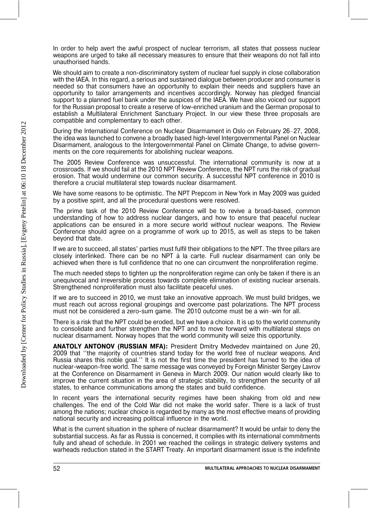In order to help avert the awful prospect of nuclear terrorism, all states that possess nuclear weapons are urged to take all necessary measures to ensure that their weapons do not fall into unauthorised hands.

We should aim to create a non-discriminatory system of nuclear fuel supply in close collaboration with the IAEA. In this regard, a serious and sustained dialogue between producer and consumer is needed so that consumers have an opportunity to explain their needs and suppliers have an opportunity to tailor arrangements and incentives accordingly. Norway has pledged financial support to a planned fuel bank under the auspices of the IAEA. We have also voiced our support for the Russian proposal to create a reserve of low-enriched uranium and the German proposal to establish a Multilateral Enrichment Sanctuary Project. In our view these three proposals are compatible and complementary to each other.

During the International Conference on Nuclear Disarmament in Oslo on February 26-27, 2008, the idea was launched to convene a broadly based high-level Intergovernmental Panel on Nuclear Disarmament, analogous to the Intergovernmental Panel on Climate Change, to advise governments on the core requirements for abolishing nuclear weapons.

The 2005 Review Conference was unsuccessful. The international community is now at a crossroads. If we should fail at the 2010 NPT Review Conference, the NPT runs the risk of gradual erosion. That would undermine our common security. A successful NPT conference in 2010 is therefore a crucial multilateral step towards nuclear disarmament.

We have some reasons to be optimistic. The NPT Prepcom in New York in May 2009 was guided by a positive spirit, and all the procedural questions were resolved.

The prime task of the 2010 Review Conference will be to revive a broad-based, common understanding of how to address nuclear dangers, and how to ensure that peaceful nuclear applications can be ensured in a more secure world without nuclear weapons. The Review Conference should agree on a programme of work up to 2015, as well as steps to be taken beyond that date.

If we are to succeed, all states' parties must fulfil their obligations to the NPT. The three pillars are closely interlinked. There can be no NPT à la carte. Full nuclear disarmament can only be achieved when there is full confidence that no one can circumvent the nonproliferation regime.

The much needed steps to tighten up the nonproliferation regime can only be taken if there is an unequivocal and irreversible process towards complete elimination of existing nuclear arsenals. Strengthened nonproliferation must also facilitate peaceful uses.

If we are to succeed in 2010, we must take an innovative approach. We must build bridges, we must reach out across regional groupings and overcome past polarizations. The NPT process must not be considered a zero-sum game. The 2010 outcome must be a win–win for all.

There is a risk that the NPT could be eroded, but we have a choice. It is up to the world community to consolidate and further strengthen the NPT and to move forward with multilateral steps on nuclear disarmament. Norway hopes that the world community will seize this opportunity.

ANATOLY ANTONOV (RUSSIAN MFA): President Dmitry Medvedev maintained on June 20, 2009 that ''the majority of countries stand today for the world free of nuclear weapons. And Russia shares this noble goal.'' It is not the first time the president has turned to the idea of nuclear-weapon-free world. The same message was conveyed by Foreign Minister Sergey Lavrov at the Conference on Disarmament in Geneva in March 2009. Our nation would clearly like to improve the current situation in the area of strategic stability, to strengthen the security of all states, to enhance communications among the states and build confidence.

In recent years the international security regimes have been shaking from old and new challenges. The end of the Cold War did not make the world safer. There is a lack of trust among the nations; nuclear choice is regarded by many as the most effective means of providing national security and increasing political influence in the world.

What is the current situation in the sphere of nuclear disarmament? It would be unfair to deny the substantial success. As far as Russia is concerned, it complies with its international commitments fully and ahead of schedule. In 2001 we reached the ceilings in strategic delivery systems and warheads reduction stated in the START Treaty. An important disarmament issue is the indefinite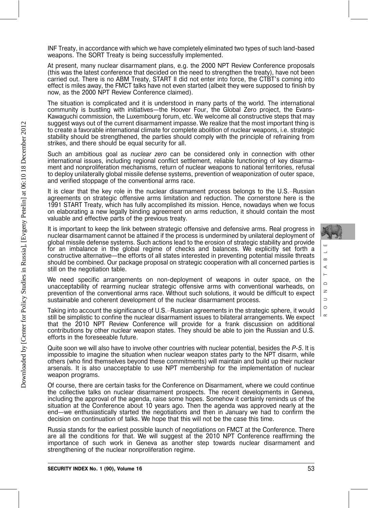INF Treaty, in accordance with which we have completely eliminated two types of such land-based weapons. The SORT Treaty is being successfully implemented.

At present, many nuclear disarmament plans, e.g. the 2000 NPT Review Conference proposals (this was the latest conference that decided on the need to strengthen the treaty), have not been carried out. There is no ABM Treaty, START II did not enter into force, the CTBT's coming into effect is miles away, the FMCT talks have not even started (albeit they were supposed to finish by now, as the 2000 NPT Review Conference claimed).

The situation is complicated and it is understood in many parts of the world. The international community is bustling with initiatives—the Hoover Four, the Global Zero project, the Evans-Kawaguchi commission, the Luxembourg forum, etc. We welcome all constructive steps that may suggest ways out of the current disarmament impasse. We realize that the most important thing is to create a favorable international climate for complete abolition of nuclear weapons, i.e. strategic stability should be strengthened, the parties should comply with the principle of refraining from strikes, and there should be equal security for all.

Such an ambitious goal as nuclear zero can be considered only in connection with other international issues, including regional conflict settlement, reliable functioning of key disarmament and nonproliferation mechanisms, return of nuclear weapons to national territories, refusal to deploy unilaterally global missile defense systems, prevention of weaponization of outer space, and verified stoppage of the conventional arms race.

It is clear that the key role in the nuclear disarmament process belongs to the U.S.–Russian agreements on strategic offensive arms limitation and reduction. The cornerstone here is the 1991 START Treaty, which has fully accomplished its mission. Hence, nowadays when we focus on elaborating a new legally binding agreement on arms reduction, it should contain the most valuable and effective parts of the previous treaty.

It is important to keep the link between strategic offensive and defensive arms. Real progress in nuclear disarmament cannot be attained if the process is undermined by unilateral deployment of global missile defense systems. Such actions lead to the erosion of strategic stability and provide for an imbalance in the global regime of checks and balances. We explicitly set forth a constructive alternative—the efforts of all states interested in preventing potential missile threats should be combined. Our package proposal on strategic cooperation with all concerned parties is still on the negotiation table.

We need specific arrangements on non-deployment of weapons in outer space, on the unacceptability of rearming nuclear strategic offensive arms with conventional warheads, on prevention of the conventional arms race. Without such solutions, it would be difficult to expect sustainable and coherent development of the nuclear disarmament process.

Taking into account the significance of U.S.–Russian agreements in the strategic sphere, it would still be simplistic to confine the nuclear disarmament issues to bilateral arrangements. We expect that the 2010 NPT Review Conference will provide for a frank discussion on additional contributions by other nuclear weapon states. They should be able to join the Russian and U.S. efforts in the foreseeable future.

Quite soon we will also have to involve other countries with nuclear potential, besides the P-5. It is impossible to imagine the situation when nuclear weapon states party to the NPT disarm, while others (who find themselves beyond these commitments) will maintain and build up their nuclear arsenals. It is also unacceptable to use NPT membership for the implementation of nuclear weapon programs.

Of course, there are certain tasks for the Conference on Disarmament, where we could continue the collective talks on nuclear disarmament prospects. The recent developments in Geneva, including the approval of the agenda, raise some hopes. Somehow it certainly reminds us of the situation at the Conference about 10 years ago. Then the agenda was approved nearly at the end—we enthusiastically started the negotiations and then in January we had to confirm the decision on continuation of talks. We hope that this will not be the case this time.

Russia stands for the earliest possible launch of negotiations on FMCT at the Conference. There are all the conditions for that. We will suggest at the 2010 NPT Conference reaffirming the importance of such work in Geneva as another step towards nuclear disarmament and strengthening of the nuclear nonproliferation regime.

ROUND TABLE

ia.  $\overline{\phantom{a}}$  $\infty$  $\prec$  $\vdash$  $\bigcap$  $\overline{z}$  $\supset$  $\circ$  $\overline{\phantom{a}}$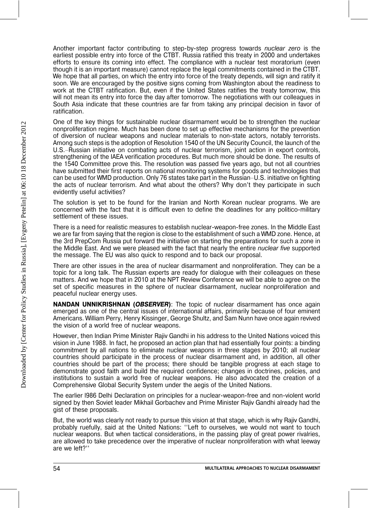Another important factor contributing to step-by-step progress towards nuclear zero is the earliest possible entry into force of the CTBT. Russia ratified this treaty in 2000 and undertakes efforts to ensure its coming into effect. The compliance with a nuclear test moratorium (even though it is an important measure) cannot replace the legal commitments contained in the CTBT. We hope that all parties, on which the entry into force of the treaty depends, will sign and ratify it soon. We are encouraged by the positive signs coming from Washington about the readiness to work at the CTBT ratification. But, even if the United States ratifies the treaty tomorrow, this will not mean its entry into force the day after tomorrow. The negotiations with our colleagues in South Asia indicate that these countries are far from taking any principal decision in favor of ratification.

One of the key things for sustainable nuclear disarmament would be to strengthen the nuclear nonproliferation regime. Much has been done to set up effective mechanisms for the prevention of diversion of nuclear weapons and nuclear materials to non-state actors, notably terrorists. Among such steps is the adoption of Resolution 1540 of the UN Security Council, the launch of the U.S.-Russian initiative on combating acts of nuclear terrorism, joint action in export controls, strengthening of the IAEA verification procedures. But much more should be done. The results of the 1540 Committee prove this. The resolution was passed five years ago, but not all countries have submitted their first reports on national monitoring systems for goods and technologies that can be used for WMD production. Only 76 states take part in the Russian–U.S. initiative on fighting the acts of nuclear terrorism. And what about the others? Why don't they participate in such evidently useful activities?

The solution is yet to be found for the Iranian and North Korean nuclear programs. We are concerned with the fact that it is difficult even to define the deadlines for any politico-military settlement of these issues.

There is a need for realistic measures to establish nuclear-weapon-free zones. In the Middle East we are far from saying that the region is close to the establishment of such a WMD zone. Hence, at the 3rd PrepCom Russia put forward the initiative on starting the preparations for such a zone in the Middle East. And we were pleased with the fact that nearly the entire *nuclear five* supported the message. The EU was also quick to respond and to back our proposal.

There are other issues in the area of nuclear disarmament and nonproliferation. They can be a topic for a long talk. The Russian experts are ready for dialogue with their colleagues on these matters. And we hope that in 2010 at the NPT Review Conference we will be able to agree on the set of specific measures in the sphere of nuclear disarmament, nuclear nonproliferation and peaceful nuclear energy uses.

**NANDAN UNNIKRISHNAN (OBSERVER)**: The topic of nuclear disarmament has once again emerged as one of the central issues of international affairs, primarily because of four eminent Americans. William Perry, Henry Kissinger, George Shultz, and Sam Nunn have once again revived the vision of a world free of nuclear weapons.

However, then Indian Prime Minister Rajiv Gandhi in his address to the United Nations voiced this vision in June 1988. In fact, he proposed an action plan that had essentially four points: a binding commitment by all nations to eliminate nuclear weapons in three stages by 2010; all nuclear countries should participate in the process of nuclear disarmament and, in addition, all other countries should be part of the process; there should be tangible progress at each stage to demonstrate good faith and build the required confidence; changes in doctrines, policies, and institutions to sustain a world free of nuclear weapons. He also advocated the creation of a Comprehensive Global Security System under the aegis of the United Nations.

The earlier l986 Delhi Declaration on principles for a nuclear-weapon-free and non-violent world signed by then Soviet leader Mikhail Gorbachev and Prime Minister Rajiv Gandhi already had the gist of these proposals.

But, the world was clearly not ready to pursue this vision at that stage, which is why Rajiv Gandhi, probably ruefully, said at the United Nations: ''Left to ourselves, we would not want to touch nuclear weapons. But when tactical considerations, in the passing play of great power rivalries, are allowed to take precedence over the imperative of nuclear nonproliferation with what leeway are we left?''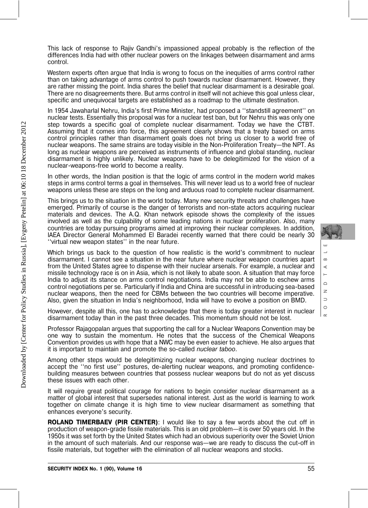This lack of response to Rajiv Gandhi's impassioned appeal probably is the reflection of the differences India had with other nuclear powers on the linkages between disarmament and arms control.

Western experts often argue that India is wrong to focus on the inequities of arms control rather than on taking advantage of arms control to push towards nuclear disarmament. However, they are rather missing the point. India shares the belief that nuclear disarmament is a desirable goal. There are no disagreements there. But arms control in itself will not achieve this goal unless clear, specific and unequivocal targets are established as a roadmap to the ultimate destination.

In 1954 Jawaharlal Nehru, India's first Prime Minister, had proposed a ''standstill agreement'' on nuclear tests. Essentially this proposal was for a nuclear test ban, but for Nehru this was only one step towards a specific goal of complete nuclear disarmament. Today we have the CTBT. Assuming that it comes into force, this agreement clearly shows that a treaty based on arms control principles rather than disarmament goals does not bring us closer to a world free of nuclear weapons. The same strains are today visible in the Non-Proliferation Treaty—the NPT. As long as nuclear weapons are perceived as instruments of influence and global standing, nuclear disarmament is highly unlikely. Nuclear weapons have to be delegitimized for the vision of a nuclear-weapons-free world to become a reality.

In other words, the Indian position is that the logic of arms control in the modern world makes steps in arms control terms a goal in themselves. This will never lead us to a world free of nuclear weapons unless these are steps on the long and arduous road to complete nuclear disarmament.

This brings us to the situation in the world today. Many new security threats and challenges have emerged. Primarily of course is the danger of terrorists and non-state actors acquiring nuclear materials and devices. The A.Q. Khan network episode shows the complexity of the issues involved as well as the culpability of some leading nations in nuclear proliferation. Also, many countries are today pursuing programs aimed at improving their nuclear complexes. In addition, IAEA Director General Mohammed El Baradei recently warned that there could be nearly 30 ''virtual new weapon states'' in the near future.

Which brings us back to the question of how realistic is the world's commitment to nuclear disarmament. I cannot see a situation in the near future where nuclear weapon countries apart from the United States agree to dispense with their nuclear arsenals. For example, a nuclear and missile technology race is on in Asia, which is not likely to abate soon. A situation that may force India to adjust its stance on arms control negotiations. India may not be able to eschew arms control negotiations per se. Particularly if India and China are successful in introducing sea-based nuclear weapons, then the need for CBMs between the two countries will become imperative. Also, given the situation in India's neighborhood, India will have to evolve a position on BMD.

However, despite all this, one has to acknowledge that there is today greater interest in nuclear disarmament today than in the past three decades. This momentum should not be lost.

Professor Rajagopalan argues that supporting the call for a Nuclear Weapons Convention may be one way to sustain the momentum. He notes that the success of the Chemical Weapons Convention provides us with hope that a NWC may be even easier to achieve. He also argues that it is important to maintain and promote the so-called nuclear taboo.

Among other steps would be delegitimizing nuclear weapons, changing nuclear doctrines to accept the ''no first use'' postures, de-alerting nuclear weapons, and promoting confidencebuilding measures between countries that possess nuclear weapons but do not as yet discuss these issues with each other.

It will require great political courage for nations to begin consider nuclear disarmament as a matter of global interest that supersedes national interest. Just as the world is learning to work together on climate change it is high time to view nuclear disarmament as something that enhances everyone's security.

ROLAND TIMERBAEV (PIR CENTER): I would like to say a few words about the cut off in production of weapon-grade fissile materials. This is an old problem—it is over 50 years old. In the 1950s it was set forth by the United States which had an obvious superiority over the Soviet Union in the amount of such materials. And our response was—we are ready to discuss the cut-off in fissile materials, but together with the elimination of all nuclear weapons and stocks.

ROUND TABLE

ia.  $\overline{\phantom{a}}$  $\infty$  $\prec$  $\vdash$  $\bigcap$  $\overline{z}$  $\supset$  $\circ$  $\alpha$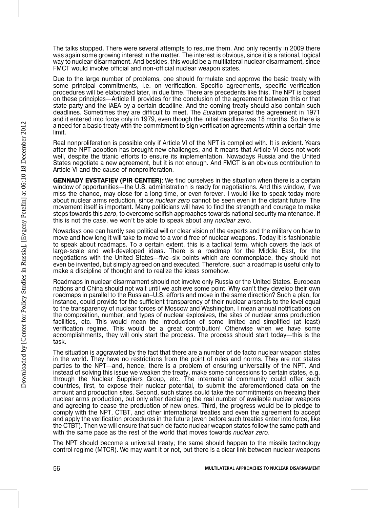The talks stopped. There were several attempts to resume them. And only recently in 2009 there was again some growing interest in the matter. The interest is obvious, since it is a rational, logical way to nuclear disarmament. And besides, this would be a multilateral nuclear disarmament, since FMCT would involve official and non-official nuclear weapon states.

Due to the large number of problems, one should formulate and approve the basic treaty with some principal commitments, i.e. on verification. Specific agreements, specific verification procedures will be elaborated later, in due time. There are precedents like this. The NPT is based on these principles—Article III provides for the conclusion of the agreement between this or that state party and the IAEA by a certain deadline. And the coming treaty should also contain such deadlines. Sometimes they are difficult to meet. The Euratom prepared the agreement in 1971 and it entered into force only in 1979, even though the initial deadline was 18 months. So there is a need for a basic treaty with the commitment to sign verification agreements within a certain time limit.

Real nonproliferation is possible only if Article VI of the NPT is complied with. It is evident. Years after the NPT adoption has brought new challenges, and it means that Article VI does not work well, despite the titanic efforts to ensure its implementation. Nowadays Russia and the United States negotiate a new agreement, but it is not enough. And FMCT is an obvious contribution to Article VI and the cause of nonproliferation.

GENNADY EVSTAFIEV (PIR CENTER): We find ourselves in the situation when there is a certain window of opportunities—the U.S. administration is ready for negotiations. And this window, if we miss the chance, may close for a long time, or even forever. I would like to speak today more about nuclear arms reduction, since *nuclear zero* cannot be seen even in the distant future. The movement itself is important. Many politicians will have to find the strength and courage to make steps towards this zero, to overcome selfish approaches towards national security maintenance. If this is not the case, we won't be able to speak about any nuclear zero.

Nowadays one can hardly see political will or clear vision of the experts and the military on how to move and how long it will take to move to a world free of nuclear weapons. Today it is fashionable to speak about roadmaps. To a certain extent, this is a tactical term, which covers the lack of large-scale and well-developed ideas. There is a roadmap for the Middle East, for the negotiations with the United States—five-six points which are commonplace, they should not even be invented, but simply agreed on and executed. Therefore, such a roadmap is useful only to make a discipline of thought and to realize the ideas somehow.

Roadmaps in nuclear disarmament should not involve only Russia or the United States. European nations and China should not wait until we achieve some point. Why can't they develop their own roadmaps in parallel to the Russian-U.S. efforts and move in the same direction? Such a plan, for instance, could provide for the sufficient transparency of their nuclear arsenals to the level equal to the transparency of nuclear forces of Moscow and Washington. I mean annual notifications on the composition, number, and types of nuclear explosives, the sites of nuclear arms production facilities, etc. This would mean the introduction of some limited and simplified (at least) verification regime. This would be a great contribution! Otherwise when we have some accomplishments, they will only start the process. The process should start today—this is the task.

The situation is aggravated by the fact that there are a number of de facto nuclear weapon states in the world. They have no restrictions from the point of rules and norms. They are not states parties to the NPT—and, hence, there is a problem of ensuring universality of the NPT. And instead of solving this issue we weaken the treaty, make some concessions to certain states, e.g. through the Nuclear Suppliers Group, etc. The international community could offer such countries, first, to expose their nuclear potential, to submit the aforementioned data on the amount and production sites. Second, such states could take the commitments on freezing their nuclear arms production, but only after declaring the real number of available nuclear weapons and agreeing to cease the production of new ones. Third, the progress would be to pledge to comply with the NPT, CTBT, and other international treaties and even the agreement to accept and apply the verification procedures in the future (even before such treaties enter into force, like the CTBT). Then we will ensure that such de facto nuclear weapon states follow the same path and with the same pace as the rest of the world that moves towards *nuclear zero*.

The NPT should become a universal treaty; the same should happen to the missile technology control regime (MTCR). We may want it or not, but there is a clear link between nuclear weapons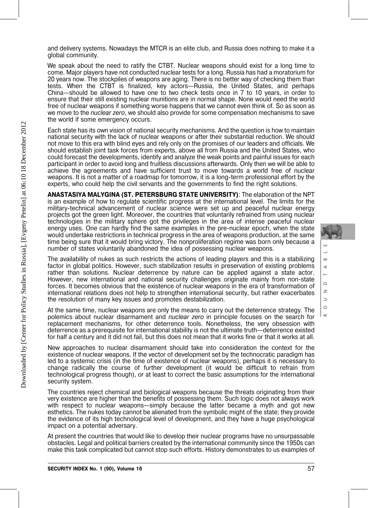and delivery systems. Nowadays the MTCR is an elite club, and Russia does nothing to make it a global community.

We speak about the need to ratify the CTBT. Nuclear weapons should exist for a long time to come. Major players have not conducted nuclear tests for a long. Russia has had a moratorium for 20 years now. The stockpiles of weapons are aging. There is no better way of checking them than tests. When the CTBT is finalized, key actors—Russia, the United States, and perhaps China—should be allowed to have one to two check tests once in 7 to 10 years, in order to ensure that their still existing nuclear munitions are in normal shape. None would need the world free of nuclear weapons if something worse happens that we cannot even think of. So as soon as we move to the *nuclear zero*, we should also provide for some compensation mechanisms to save the world if some emergency occurs.

Each state has its own vision of national security mechanisms. And the question is how to maintain national security with the lack of nuclear weapons or after their substantial reduction. We should not move to this era with blind eyes and rely only on the promises of our leaders and officials. We should establish joint task forces from experts, above all from Russia and the United States, who could forecast the developments, identify and analyze the weak points and painful issues for each participant in order to avoid long and fruitless discussions afterwards. Only then we will be able to achieve the agreements and have sufficient trust to move towards a world free of nuclear weapons. It is not a matter of a roadmap for tomorrow, it is a long-term professional effort by the experts, who could help the civil servants and the governments to find the right solutions.

ANASTASIYA MALYGINA (ST. PETERSBURG STATE UNIVERSITY): The elaboration of the NPT is an example of how to regulate scientific progress at the international level. The limits for the military-technical advancement of nuclear science were set up and peaceful nuclear energy projects got the green light. Moreover, the countries that voluntarily refrained from using nuclear technologies in the military sphere got the privileges in the area of intense peaceful nuclear energy uses. One can hardly find the same examples in the pre-nuclear epoch, when the state would undertake restrictions in technical progress in the area of weapons production, at the same time being sure that it would bring victory. The nonproliferation regime was born only because a number of states voluntarily abandoned the idea of possessing nuclear weapons.

The availability of nukes as such restricts the actions of leading players and this is a stabilizing factor in global politics. However, such stabilization results in preservation of existing problems rather than solutions. Nuclear deterrence by nature can be applied against a state actor. However, new international and national security challenges originate mainly from non-state forces. It becomes obvious that the existence of nuclear weapons in the era of transformation of international relations does not help to strengthen international security, but rather exacerbates the resolution of many key issues and promotes destabilization.

At the same time, nuclear weapons are only the means to carry out the deterrence strategy. The polemics about nuclear disarmament and nuclear zero in principle focuses on the search for replacement mechanisms, for other deterrence tools. Nonetheless, the very obsession with deterrence as a prerequisite for international stability is not the ultimate truth—deterrence existed for half a century and it did not fail, but this does not mean that it works fine or that it works at all.

New approaches to nuclear disarmament should take into consideration the context for the existence of nuclear weapons. If the vector of development set by the technocratic paradigm has led to a systemic crisis (in the time of existence of nuclear weapons), perhaps it is necessary to change radically the course of further development (it would be difficult to refrain from technological progress though), or at least to correct the basic assumptions for the international security system.

The countries reject chemical and biological weapons because the threats originating from their very existence are higher than the benefits of possessing them. Such logic does not always work with respect to nuclear weapons—simply because the latter became a myth and got new esthetics. The nukes today cannot be alienated from the symbolic might of the state; they provide the evidence of its high technological level of development, and they have a huge psychological impact on a potential adversary.

At present the countries that would like to develop their nuclear programs have no unsurpassable obstacles. Legal and political barriers created by the international community since the 1950s can make this task complicated but cannot stop such efforts. History demonstrates to us examples of ROUND TABLE

风 ia.  $\overline{\phantom{a}}$  $\infty$  $\prec$  $\vdash$  $\mathop\simeq$  $\overline{z}$  $\supset$  $\circ$  $\overline{\phantom{a}}$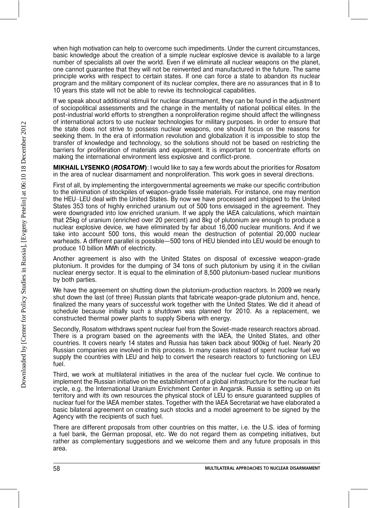when high motivation can help to overcome such impediments. Under the current circumstances, basic knowledge about the creation of a simple nuclear explosive device is available to a large number of specialists all over the world. Even if we eliminate all nuclear weapons on the planet, one cannot guarantee that they will not be reinvented and manufactured in the future. The same principle works with respect to certain states. If one can force a state to abandon its nuclear program and the military component of its nuclear complex, there are no assurances that in 8 to 10 years this state will not be able to revive its technological capabilities.

If we speak about additional stimuli for nuclear disarmament, they can be found in the adjustment of sociopolitical assessments and the change in the mentality of national political elites. In the post-industrial world efforts to strengthen a nonproliferation regime should affect the willingness of international actors to use nuclear technologies for military purposes. In order to ensure that the state does not strive to possess nuclear weapons, one should focus on the reasons for seeking them. In the era of information revolution and globalization it is impossible to stop the transfer of knowledge and technology, so the solutions should not be based on restricting the barriers for proliferation of materials and equipment. It is important to concentrate efforts on making the international environment less explosive and conflict-prone.

**MIKHAIL LYSENKO (ROSATOM)**: I would like to say a few words about the priorities for Rosatom in the area of nuclear disarmament and nonproliferation. This work goes in several directions.

First of all, by implementing the intergovernmental agreements we make our specific contribution to the elimination of stockpiles of weapon-grade fissile materials. For instance, one may mention the HEU-LEU deal with the United States. By now we have processed and shipped to the United States 353 tons of highly enriched uranium out of 500 tons envisaged in the agreement. They were downgraded into low enriched uranium. If we apply the IAEA calculations, which maintain that 25kg of uranium (enriched over 20 percent) and 8kg of plutonium are enough to produce a nuclear explosive device, we have eliminated by far about 16,000 nuclear munitions. And if we take into account 500 tons, this would mean the destruction of potential 20,000 nuclear warheads. A different parallel is possible—500 tons of HEU blended into LEU would be enough to produce 10 billion MWh of electricity.

Another agreement is also with the United States on disposal of excessive weapon-grade plutonium. It provides for the dumping of 34 tons of such plutonium by using it in the civilian nuclear energy sector. It is equal to the elimination of 8,500 plutonium-based nuclear munitions by both parties.

We have the agreement on shutting down the plutonium-production reactors. In 2009 we nearly shut down the last (of three) Russian plants that fabricate weapon-grade plutonium and, hence, finalized the many years of successful work together with the United States. We did it ahead of schedule because initially such a shutdown was planned for 2010. As a replacement, we constructed thermal power plants to supply Siberia with energy.

Secondly, Rosatom withdraws spent nuclear fuel from the Soviet-made research reactors abroad. There is a program based on the agreements with the IAEA, the United States, and other countries. It covers nearly 14 states and Russia has taken back about 900kg of fuel. Nearly 20 Russian companies are involved in this process. In many cases instead of spent nuclear fuel we supply the countries with LEU and help to convert the research reactors to functioning on LEU fuel.

Third, we work at multilateral initiatives in the area of the nuclear fuel cycle. We continue to implement the Russian initiative on the establishment of a global infrastructure for the nuclear fuel cycle, e.g. the International Uranium Enrichment Center in Angarsk. Russia is setting up on its territory and with its own resources the physical stock of LEU to ensure guaranteed supplies of nuclear fuel for the IAEA member states. Together with the IAEA Secretariat we have elaborated a basic bilateral agreement on creating such stocks and a model agreement to be signed by the Agency with the recipients of such fuel.

There are different proposals from other countries on this matter, i.e. the U.S. idea of forming a fuel bank, the German proposal, etc. We do not regard them as competing initiatives, but rather as complementary suggestions and we welcome them and any future proposals in this area.